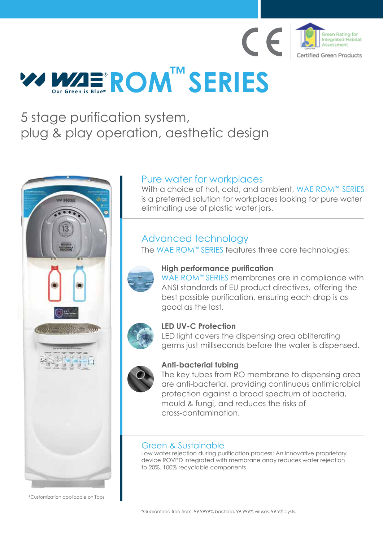

# **ROM SERIES R**

# 5 stage purification system, plug & play operation, aesthetic design

# Pure water for workplaces

With a choice of hot, cold, and ambient, WAE ROM™ SERIES is a preferred solution for workplaces looking for pure water eliminating use of plastic water jars.

# Advanced technology

The WAE ROM™ SERIES features three core technologies:



\*Customization applicable on Taps



## **High performance purification**

WAE ROM**™** SERIES membranes are in compliance with ANSI standards of EU product directives, offering the best possible purification, ensuring each drop is as good as the last.

# **LED UV-C Protection**

LED light covers the dispensing area obliterating germs just milliseconds before the water is dispensed.

# **Anti-bacterial tubing**

The key tubes from RO membrane to dispensing area are anti-bacterial, providing continuous antimicrobial protection against a broad spectrum of bacteria, mould & fungi, and reduces the risks of cross-contamination.

# Green & Sustainable

Low water rejection during purification process: An innovative proprietary device ROVPD integrated with membrane array reduces water rejection to 20%. 100% recyclable components